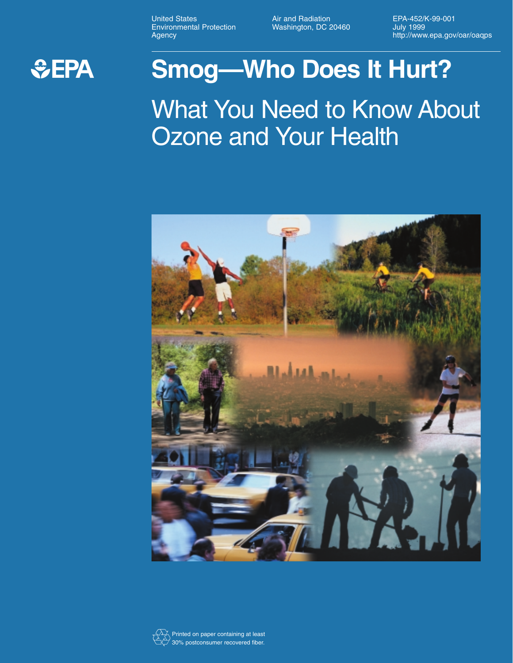United States **Air and Radiation**<br>
EPA-452/K-99-001<br>
Environmental Protection **Mashington, DC 20460** July 1999 Environmental Protection Washington, DC 20460<br>Agency

http://www.epa.gov/oar/oaqps



## **Smog—Who Does It Hurt?**

What You Need to Know About **Ozone and Your Health** 



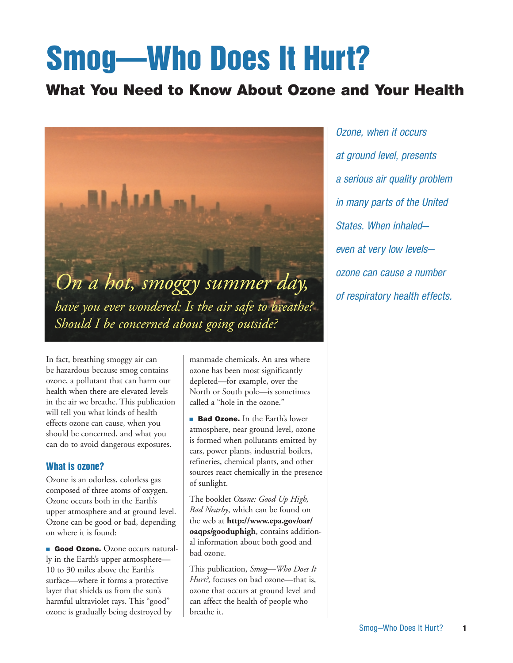# Smog—Who Does It Hurt?

## What You Need to Know About Ozone and Your Health



In fact, breathing smoggy air can be hazardous because smog contains ozone, a pollutant that can harm our health when there are elevated levels in the air we breathe. This publication will tell you what kinds of health effects ozone can cause, when you should be concerned, and what you can do to avoid dangerous exposures.

#### What is ozone?

Ozone is an odorless, colorless gas composed of three atoms of oxygen. Ozone occurs both in the Earth's upper atmosphere and at ground level. Ozone can be good or bad, depending on where it is found:

**Good Ozone.** Ozone occurs naturally in the Earth's upper atmosphere— 10 to 30 miles above the Earth's surface—where it forms a protective layer that shields us from the sun's harmful ultraviolet rays. This "good" ozone is gradually being destroyed by

manmade chemicals. An area where ozone has been most significantly depleted—for example, over the North or South pole—is sometimes called a "hole in the ozone."

**Bad Ozone.** In the Earth's lower atmosphere, near ground level, ozone is formed when pollutants emitted by cars, power plants, industrial boilers, refineries, chemical plants, and other sources react chemically in the presence of sunlight.

The booklet *Ozone: Good Up High, Bad Nearby*, which can be found on the web at **http://www.epa.gov/oar/ oaqps/gooduphigh**, contains additional information about both good and bad ozone.

This publication, *Smog—Who Does It Hurt?,* focuses on bad ozone—that is, ozone that occurs at ground level and can affect the health of people who breathe it.

*Ozone, when it occurs at ground level, presents a serious air quality problem in many parts of the United States. When inhaled even at very low levels ozone can cause a number of respiratory health effects.*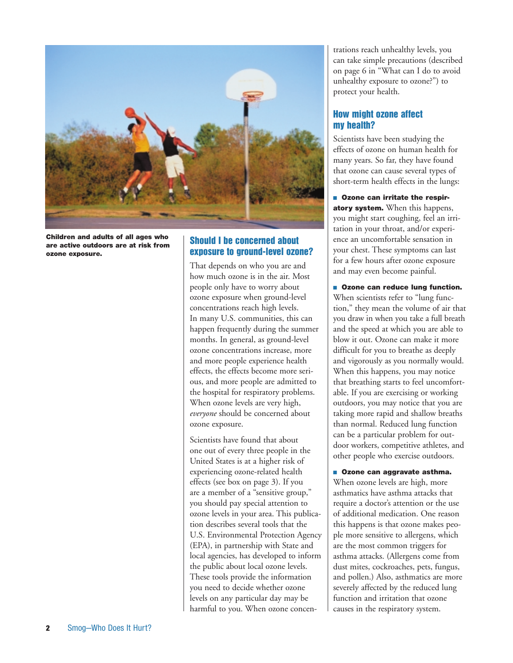

Children and adults of all ages who are active outdoors are at risk from ozone exposure.

#### Should I be concerned about exposure to ground-level ozone?

That depends on who you are and how much ozone is in the air. Most people only have to worry about ozone exposure when ground-level concentrations reach high levels. In many U.S. communities, this can happen frequently during the summer months. In general, as ground-level ozone concentrations increase, more and more people experience health effects, the effects become more serious, and more people are admitted to the hospital for respiratory problems. When ozone levels are very high, *everyone* should be concerned about ozone exposure.

Scientists have found that about one out of every three people in the United States is at a higher risk of experiencing ozone-related health effects (see box on page 3). If you are a member of a "sensitive group," you should pay special attention to ozone levels in your area. This publication describes several tools that the U.S. Environmental Protection Agency (EPA), in partnership with State and local agencies, has developed to inform the public about local ozone levels. These tools provide the information you need to decide whether ozone levels on any particular day may be harmful to you. When ozone concentrations reach unhealthy levels, you can take simple precautions (described on page 6 in "What can I do to avoid unhealthy exposure to ozone?") to protect your health.

## How might ozone affect my health?

Scientists have been studying the effects of ozone on human health for many years. So far, they have found that ozone can cause several types of short-term health effects in the lungs:

 $\blacksquare$  Ozone can irritate the respiratory system. When this happens, you might start coughing, feel an irritation in your throat, and/or experience an uncomfortable sensation in your chest. These symptoms can last for a few hours after ozone exposure and may even become painful.

**DE Ozone can reduce lung function.** When scientists refer to "lung function," they mean the volume of air that you draw in when you take a full breath and the speed at which you are able to blow it out. Ozone can make it more difficult for you to breathe as deeply and vigorously as you normally would. When this happens, you may notice that breathing starts to feel uncomfortable. If you are exercising or working outdoors, you may notice that you are taking more rapid and shallow breaths than normal. Reduced lung function can be a particular problem for outdoor workers, competitive athletes, and other people who exercise outdoors.

**Diamaged 2018** Ozone can aggravate asthma. When ozone levels are high, more asthmatics have asthma attacks that require a doctor's attention or the use of additional medication. One reason this happens is that ozone makes people more sensitive to allergens, which are the most common triggers for asthma attacks. (Allergens come from dust mites, cockroaches, pets, fungus, and pollen.) Also, asthmatics are more severely affected by the reduced lung function and irritation that ozone causes in the respiratory system.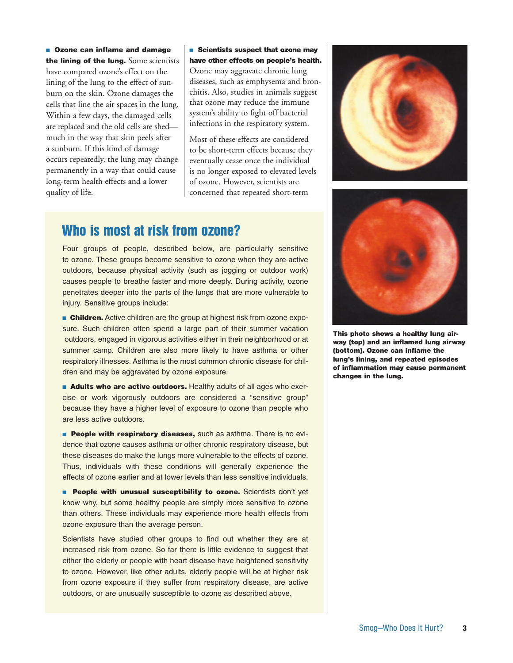**Dealer Can inflame and damage** the lining of the lung. Some scientists have compared ozone's effect on the lining of the lung to the effect of sunburn on the skin. Ozone damages the cells that line the air spaces in the lung. Within a few days, the damaged cells are replaced and the old cells are shed much in the way that skin peels after a sunburn. If this kind of damage occurs repeatedly, the lung may change permanently in a way that could cause long-term health effects and a lower quality of life.

**Scientists suspect that ozone may** have other effects on people's health.

Ozone may aggravate chronic lung diseases, such as emphysema and bronchitis. Also, studies in animals suggest that ozone may reduce the immune system's ability to fight off bacterial infections in the respiratory system.

Most of these effects are considered to be short-term effects because they eventually cease once the individual is no longer exposed to elevated levels of ozone. However, scientists are concerned that repeated short-term

## Who is most at risk from ozone?

Four groups of people, described below, are particularly sensitive to ozone. These groups become sensitive to ozone when they are active outdoors, because physical activity (such as jogging or outdoor work) causes people to breathe faster and more deeply. During activity, ozone penetrates deeper into the parts of the lungs that are more vulnerable to injury. Sensitive groups include:

**Children.** Active children are the group at highest risk from ozone exposure. Such children often spend a large part of their summer vacation outdoors, engaged in vigorous activities either in their neighborhood or at summer camp. Children are also more likely to have asthma or other respiratory illnesses. Asthma is the most common chronic disease for children and may be aggravated by ozone exposure.

**E** Adults who are active outdoors. Healthy adults of all ages who exercise or work vigorously outdoors are considered a "sensitive group" because they have a higher level of exposure to ozone than people who are less active outdoors.

**People with respiratory diseases, such as asthma. There is no evi**dence that ozone causes asthma or other chronic respiratory disease, but these diseases do make the lungs more vulnerable to the effects of ozone. Thus, individuals with these conditions will generally experience the effects of ozone earlier and at lower levels than less sensitive individuals.

**People with unusual susceptibility to ozone.** Scientists don't yet know why, but some healthy people are simply more sensitive to ozone than others. These individuals may experience more health effects from ozone exposure than the average person.

Scientists have studied other groups to find out whether they are at increased risk from ozone. So far there is little evidence to suggest that either the elderly or people with heart disease have heightened sensitivity to ozone. However, like other adults, elderly people will be at higher risk from ozone exposure if they suffer from respiratory disease, are active outdoors, or are unusually susceptible to ozone as described above.





This photo shows a healthy lung airway (top) and an inflamed lung airway (bottom). Ozone can inflame the lung's lining, and repeated episodes of inflammation may cause permanent changes in the lung.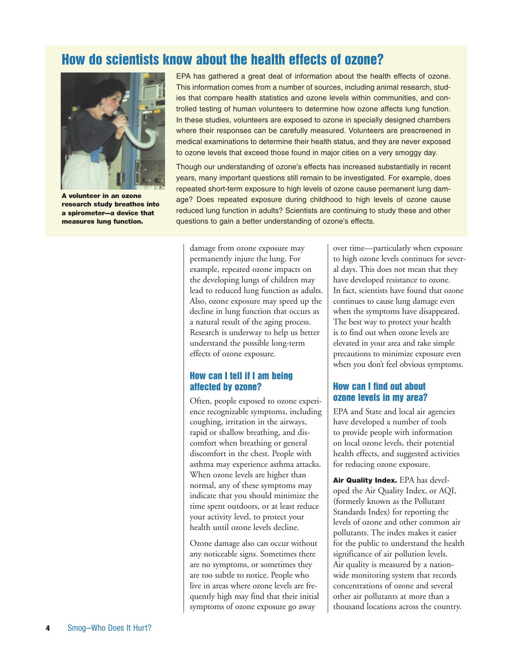## How do scientists know about the health effects of ozone?



A volunteer in an ozone research study breathes into a spirometer—a device that measures lung function.

EPA has gathered a great deal of information about the health effects of ozone. This information comes from a number of sources, including animal research, studies that compare health statistics and ozone levels within communities, and controlled testing of human volunteers to determine how ozone affects lung function. In these studies, volunteers are exposed to ozone in specially designed chambers where their responses can be carefully measured. Volunteers are prescreened in medical examinations to determine their health status, and they are never exposed to ozone levels that exceed those found in major cities on a very smoggy day.

Though our understanding of ozone's effects has increased substantially in recent years, many important questions still remain to be investigated. For example, does repeated short-term exposure to high levels of ozone cause permanent lung damage? Does repeated exposure during childhood to high levels of ozone cause reduced lung function in adults? Scientists are continuing to study these and other questions to gain a better understanding of ozone's effects.

damage from ozone exposure may permanently injure the lung. For example, repeated ozone impacts on the developing lungs of children may lead to reduced lung function as adults. Also, ozone exposure may speed up the decline in lung function that occurs as a natural result of the aging process. Research is underway to help us better understand the possible long-term effects of ozone exposure.

## How can I tell if I am being affected by ozone?

Often, people exposed to ozone experience recognizable symptoms, including coughing, irritation in the airways, rapid or shallow breathing, and discomfort when breathing or general discomfort in the chest. People with asthma may experience asthma attacks. When ozone levels are higher than normal, any of these symptoms may indicate that you should minimize the time spent outdoors, or at least reduce your activity level, to protect your health until ozone levels decline.

Ozone damage also can occur without any noticeable signs. Sometimes there are no symptoms, or sometimes they are too subtle to notice. People who live in areas where ozone levels are frequently high may find that their initial symptoms of ozone exposure go away

over time—particularly when exposure to high ozone levels continues for several days. This does not mean that they have developed resistance to ozone. In fact, scientists have found that ozone continues to cause lung damage even when the symptoms have disappeared. The best way to protect your health is to find out when ozone levels are elevated in your area and take simple precautions to minimize exposure even when you don't feel obvious symptoms.

#### How can I find out about ozone levels in my area?

EPA and State and local air agencies have developed a number of tools to provide people with information on local ozone levels, their potential health effects, and suggested activities for reducing ozone exposure.

Air Quality Index. EPA has developed the Air Quality Index, or AQI, (formerly known as the Pollutant Standards Index) for reporting the levels of ozone and other common air pollutants. The index makes it easier for the public to understand the health significance of air pollution levels. Air quality is measured by a nationwide monitoring system that records concentrations of ozone and several other air pollutants at more than a thousand locations across the country.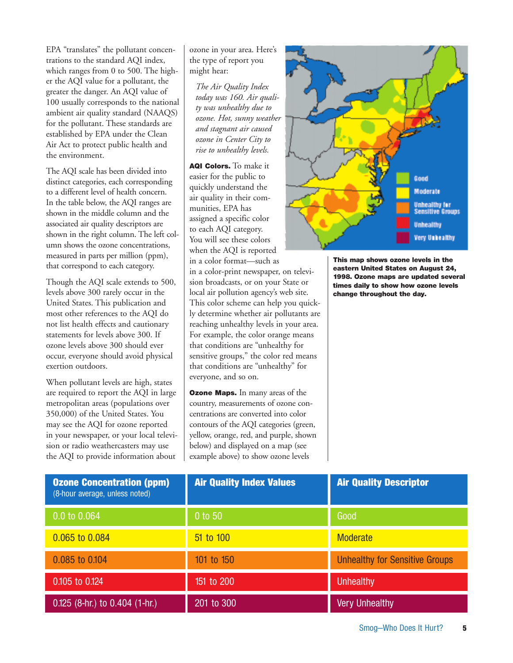EPA "translates" the pollutant concentrations to the standard AQI index, which ranges from 0 to 500. The higher the AQI value for a pollutant, the greater the danger. An AQI value of 100 usually corresponds to the national ambient air quality standard (NAAQS) for the pollutant. These standards are established by EPA under the Clean Air Act to protect public health and the environment.

The AQI scale has been divided into distinct categories, each corresponding to a different level of health concern. In the table below, the AQI ranges are shown in the middle column and the associated air quality descriptors are shown in the right column. The left column shows the ozone concentrations, measured in parts per million (ppm), that correspond to each category.

Though the AQI scale extends to 500, levels above 300 rarely occur in the United States. This publication and most other references to the AQI do not list health effects and cautionary statements for levels above 300. If ozone levels above 300 should ever occur, everyone should avoid physical exertion outdoors.

When pollutant levels are high, states are required to report the AQI in large metropolitan areas (populations over 350,000) of the United States. You may see the AQI for ozone reported in your newspaper, or your local television or radio weathercasters may use the AQI to provide information about

ozone in your area. Here's the type of report you might hear:

*The Air Quality Index today was 160. Air quality was unhealthy due to ozone. Hot, sunny weather and stagnant air caused ozone in Center City to rise to unhealthy levels.*

AQI Colors. To make it easier for the public to quickly understand the air quality in their communities, EPA has assigned a specific color to each AQI category. You will see these colors when the AQI is reported in a color format—such as

in a color-print newspaper, on television broadcasts, or on your State or local air pollution agency's web site. This color scheme can help you quickly determine whether air pollutants are reaching unhealthy levels in your area. For example, the color orange means that conditions are "unhealthy for sensitive groups," the color red means that conditions are "unhealthy" for everyone, and so on.

**Ozone Maps.** In many areas of the country, measurements of ozone concentrations are converted into color contours of the AQI categories (green, yellow, orange, red, and purple, shown below) and displayed on a map (see example above) to show ozone levels



This map shows ozone levels in the eastern United States on August 24, 1998. Ozone maps are updated several times daily to show how ozone levels change throughout the day.

| <b>Ozone Concentration (ppm)</b><br>(8-hour average, unless noted) | <b>Air Quality Index Values</b> | <b>Air Quality Descriptor</b>         |
|--------------------------------------------------------------------|---------------------------------|---------------------------------------|
| 0.0 to 0.064                                                       | 0 to 50                         | Good                                  |
| 0.065 to 0.084                                                     | 51 to 100                       | <b>Moderate</b>                       |
| 0.085 to 0.104                                                     | 101 to 150                      | <b>Unhealthy for Sensitive Groups</b> |
| 0.105 to 0.124                                                     | 151 to 200                      | <b>Unhealthy</b>                      |
| $0.125$ (8-hr.) to $0.404$ (1-hr.)                                 | 201 to 300                      | <b>Very Unhealthy</b>                 |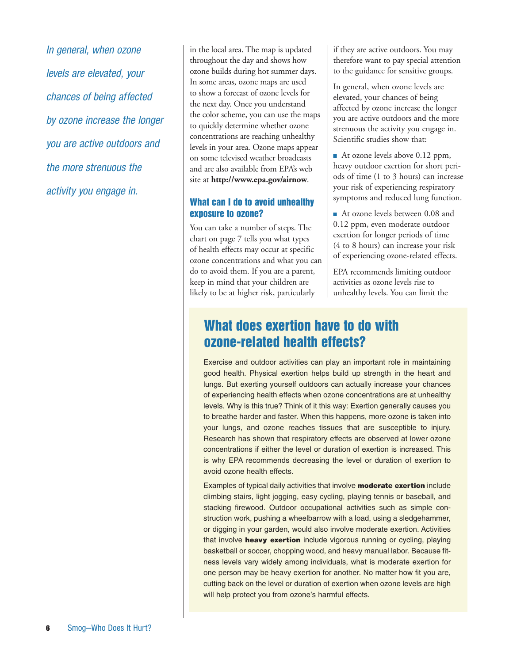*In general, when ozone levels are elevated, your chances of being affected by ozone increase the longer you are active outdoors and the more strenuous the activity you engage in.* 

in the local area. The map is updated throughout the day and shows how ozone builds during hot summer days. In some areas, ozone maps are used to show a forecast of ozone levels for the next day. Once you understand the color scheme, you can use the maps to quickly determine whether ozone concentrations are reaching unhealthy levels in your area. Ozone maps appear on some televised weather broadcasts and are also available from EPA's web site at **http://www.epa.gov/airnow**.

#### What can I do to avoid unhealthy exposure to ozone?

You can take a number of steps. The chart on page 7 tells you what types of health effects may occur at specific ozone concentrations and what you can do to avoid them. If you are a parent, keep in mind that your children are likely to be at higher risk, particularly

if they are active outdoors. You may therefore want to pay special attention to the guidance for sensitive groups.

In general, when ozone levels are elevated, your chances of being affected by ozone increase the longer you are active outdoors and the more strenuous the activity you engage in. Scientific studies show that:

■ At ozone levels above 0.12 ppm, heavy outdoor exertion for short periods of time (1 to 3 hours) can increase your risk of experiencing respiratory symptoms and reduced lung function.

■ At ozone levels between 0.08 and 0.12 ppm, even moderate outdoor exertion for longer periods of time (4 to 8 hours) can increase your risk of experiencing ozone-related effects.

EPA recommends limiting outdoor activities as ozone levels rise to unhealthy levels. You can limit the

## What does exertion have to do with ozone-related health effects?

Exercise and outdoor activities can play an important role in maintaining good health. Physical exertion helps build up strength in the heart and lungs. But exerting yourself outdoors can actually increase your chances of experiencing health effects when ozone concentrations are at unhealthy levels. Why is this true? Think of it this way: Exertion generally causes you to breathe harder and faster. When this happens, more ozone is taken into your lungs, and ozone reaches tissues that are susceptible to injury. Research has shown that respiratory effects are observed at lower ozone concentrations if either the level or duration of exertion is increased. This is why EPA recommends decreasing the level or duration of exertion to avoid ozone health effects.

Examples of typical daily activities that involve **moderate exertion** include climbing stairs, light jogging, easy cycling, playing tennis or baseball, and stacking firewood. Outdoor occupational activities such as simple construction work, pushing a wheelbarrow with a load, using a sledgehammer, or digging in your garden, would also involve moderate exertion. Activities that involve heavy exertion include vigorous running or cycling, playing basketball or soccer, chopping wood, and heavy manual labor. Because fitness levels vary widely among individuals, what is moderate exertion for one person may be heavy exertion for another. No matter how fit you are, cutting back on the level or duration of exertion when ozone levels are high will help protect you from ozone's harmful effects.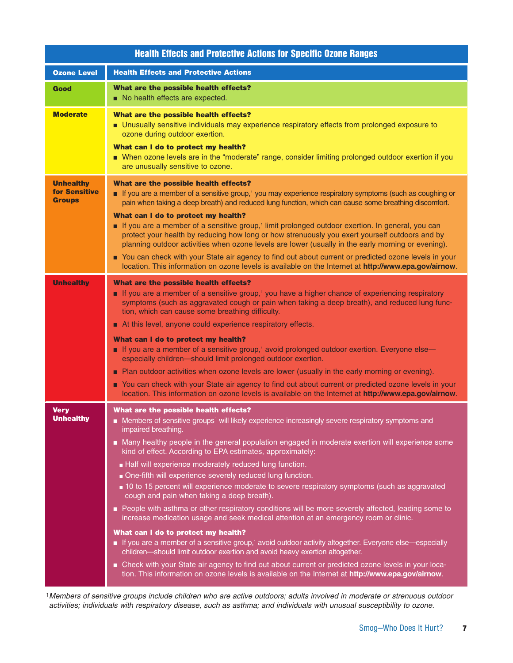| <b>Health Effects and Protective Actions for Specific Ozone Ranges</b> |                                                                                                                                                                                                                                                                                                                                                                                                                                                                                                                                                                                                                                                                                                                                                                                                                                                                                                                                                                                                                                                                                                                                                                                                                                                                             |  |
|------------------------------------------------------------------------|-----------------------------------------------------------------------------------------------------------------------------------------------------------------------------------------------------------------------------------------------------------------------------------------------------------------------------------------------------------------------------------------------------------------------------------------------------------------------------------------------------------------------------------------------------------------------------------------------------------------------------------------------------------------------------------------------------------------------------------------------------------------------------------------------------------------------------------------------------------------------------------------------------------------------------------------------------------------------------------------------------------------------------------------------------------------------------------------------------------------------------------------------------------------------------------------------------------------------------------------------------------------------------|--|
| <b>Ozone Level</b>                                                     | <b>Health Effects and Protective Actions</b>                                                                                                                                                                                                                                                                                                                                                                                                                                                                                                                                                                                                                                                                                                                                                                                                                                                                                                                                                                                                                                                                                                                                                                                                                                |  |
| Good                                                                   | What are the possible health effects?<br>No health effects are expected.                                                                                                                                                                                                                                                                                                                                                                                                                                                                                                                                                                                                                                                                                                                                                                                                                                                                                                                                                                                                                                                                                                                                                                                                    |  |
| <b>Moderate</b>                                                        | What are the possible health effects?<br>Unusually sensitive individuals may experience respiratory effects from prolonged exposure to<br>ozone during outdoor exertion.<br>What can I do to protect my health?<br>■ When ozone levels are in the "moderate" range, consider limiting prolonged outdoor exertion if you<br>are unusually sensitive to ozone.                                                                                                                                                                                                                                                                                                                                                                                                                                                                                                                                                                                                                                                                                                                                                                                                                                                                                                                |  |
| <b>Unhealthy</b><br><b>for Sensitive</b><br><b>Groups</b>              | What are the possible health effects?<br>If you are a member of a sensitive group, <sup>1</sup> you may experience respiratory symptoms (such as coughing or<br>pain when taking a deep breath) and reduced lung function, which can cause some breathing discomfort.<br>What can I do to protect my health?<br>If you are a member of a sensitive group, <sup>1</sup> limit prolonged outdoor exertion. In general, you can<br>protect your health by reducing how long or how strenuously you exert yourself outdoors and by<br>planning outdoor activities when ozone levels are lower (usually in the early morning or evening).<br>You can check with your State air agency to find out about current or predicted ozone levels in your<br>location. This information on ozone levels is available on the Internet at http://www.epa.gov/airnow.                                                                                                                                                                                                                                                                                                                                                                                                                       |  |
| <b>Unhealthy</b>                                                       | What are the possible health effects?<br>If you are a member of a sensitive group, <sup>1</sup> you have a higher chance of experiencing respiratory<br>symptoms (such as aggravated cough or pain when taking a deep breath), and reduced lung func-<br>tion, which can cause some breathing difficulty.<br>At this level, anyone could experience respiratory effects.<br>What can I do to protect my health?<br>■ If you are a member of a sensitive group, <sup>1</sup> avoid prolonged outdoor exertion. Everyone else—<br>especially children-should limit prolonged outdoor exertion.<br>Plan outdoor activities when ozone levels are lower (usually in the early morning or evening).<br>You can check with your State air agency to find out about current or predicted ozone levels in your<br>location. This information on ozone levels is available on the Internet at http://www.epa.gov/airnow.                                                                                                                                                                                                                                                                                                                                                             |  |
| Very<br><b>Unhealthy</b>                                               | What are the possible health effects?<br>Members of sensitive groups <sup>1</sup> will likely experience increasingly severe respiratory symptoms and<br>impaired breathing.<br>■ Many healthy people in the general population engaged in moderate exertion will experience some<br>kind of effect. According to EPA estimates, approximately:<br>Half will experience moderately reduced lung function.<br>One-fifth will experience severely reduced lung function.<br>10 to 15 percent will experience moderate to severe respiratory symptoms (such as aggravated<br>cough and pain when taking a deep breath).<br>People with asthma or other respiratory conditions will be more severely affected, leading some to<br>increase medication usage and seek medical attention at an emergency room or clinic.<br>What can I do to protect my health?<br>If you are a member of a sensitive group, <sup>1</sup> avoid outdoor activity altogether. Everyone else—especially<br>children-should limit outdoor exertion and avoid heavy exertion altogether.<br>■ Check with your State air agency to find out about current or predicted ozone levels in your loca-<br>tion. This information on ozone levels is available on the Internet at http://www.epa.gov/airnow. |  |

1*Members of sensitive groups include children who are active outdoors; adults involved in moderate or strenuous outdoor activities; individuals with respiratory disease, such as asthma; and individuals with unusual susceptibility to ozone.*